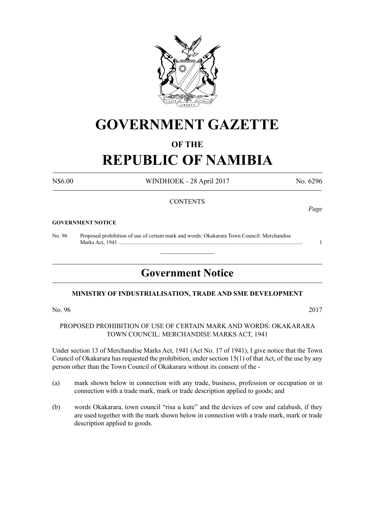

# **GOVERNMENT GAZETTE**

# **OF THE**

# **REPUBLIC OF NAMIBIA**

N\$6.00 WINDHOEK - 28 April 2017 No. 6296

## **CONTENTS**

#### **GOVERNMENT NOTICE**

No. 96 Proposed prohibition of use of certain mark and words: Okakarara Town Council: Merchandise Marks Act, 1941 ..................................................................................................................................... 1

# **Government Notice**

 $\overline{\phantom{a}}$  , where  $\overline{\phantom{a}}$ 

### **MINISTRY OF INDUSTRIALISATION, TRADE AND SME DEVELOPMENT**

No. 96 2017

### PROPOSED PROHIBITION OF USE OF CERTAIN MARK AND WORDS: OKAKARARA TOWN COUNCIL: MERCHANDISE MARKS ACT, 1941

Under section 13 of Merchandise Marks Act, 1941 (Act No. 17 of 1941), I give notice that the Town Council of Okakarara has requested the prohibition, under section 15(1) of that Act, of the use by any person other than the Town Council of Okakarara without its consent of the -

- (a) mark shown below in connection with any trade, business, profession or occupation or in connection with a trade mark, mark or trade description applied to goods; and
- (b) words Okakarara, town council "risa u kute" and the devices of cow and calabash, if they are used together with the mark shown below in connection with a trade mark, mark or trade description applied to goods.

*Page*